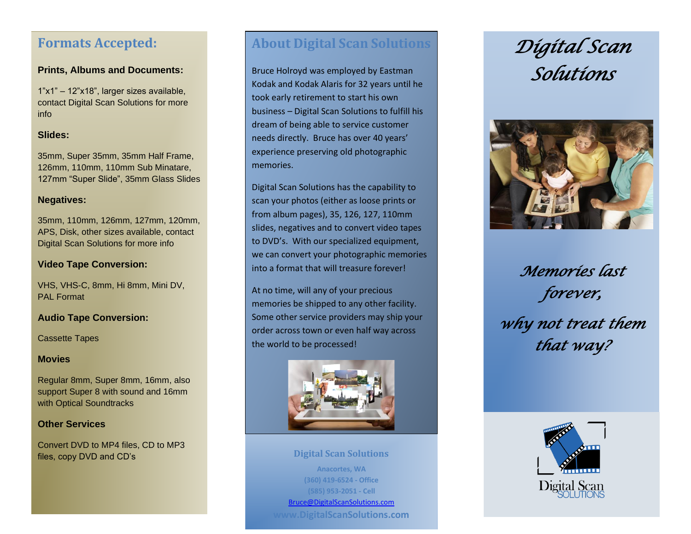# **Formats Accepted:**

# **Prints, Albums and Documents:**

1"x1" – 12"x18", larger sizes available, contact Digital Scan Solutions for more info

# **Slides:**

35mm, Super 35mm, 35mm Half Frame, 126mm, 110mm, 110mm Sub Minatare, 127mm "Super Slide", 35mm Glass Slides

# **Negatives:**

35mm, 110mm, 126mm, 127mm, 120mm, APS, Disk, other sizes available, contact Digital Scan Solutions for more info

## **Video Tape Conversion:**

VHS, VHS-C, 8mm, Hi 8mm, Mini DV, PAL Format

# **Audio Tape Conversion:**

Cassette Tapes

### **Movies**

Regular 8mm, Super 8mm, 16mm, also support Super 8 with sound and 16mm with Optical Soundtracks

# **Other Services**

Convert DVD to MP4 files, CD to MP3 files, copy DVD and CD's

# **About Digital Scan Solutions**

Bruce Holroyd was employed by Eastman Kodak and Kodak Alaris for 32 years until he took early retirement to start his own business – Digital Scan Solutions to fulfill his dream of being able to service customer needs directly. Bruce has over 40 years' experience preserving old photographic memories.

Digital Scan Solutions has the capability to scan your photos (either as loose prints or from album pages), 35, 126, 127, 110mm slides, negatives and to convert video tapes to DVD's. With our specialized equipment, we can convert your photographic memories into a format that will treasure forever!

At no time, will any of your precious memories be shipped to any other facility. Some other service providers may ship your order across town or even half way across the world to be processed!



**Digital Scan Solutions Anacortes, WA (360) 419-6524 - Office (585) 953-2051 - Cell** [Bruce@DigitalScanSolutions.com](mailto:Bruce@DigitalScanSolutions.com) **www.DigitalScanSolutions.com**

# *Digital Scan Solutions*



*Memories last forever, why not treat them that way?*